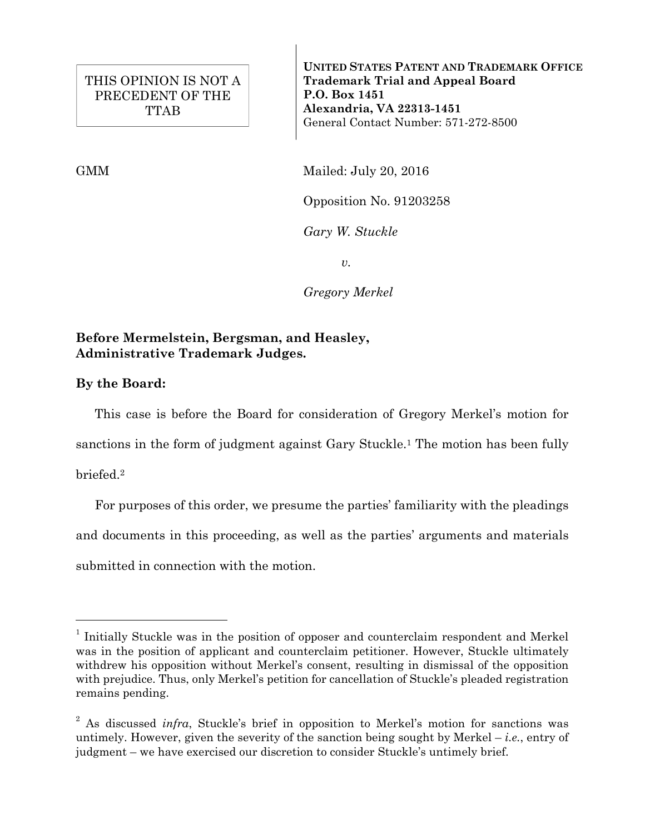**UNITED STATES PATENT AND TRADEMARK OFFICE Trademark Trial and Appeal Board P.O. Box 1451 Alexandria, VA 22313-1451**  General Contact Number: 571-272-8500

GMM Mailed: July 20, 2016

Opposition No. 91203258

*Gary W. Stuckle*

*v.*

*Gregory Merkel*

## **Before Mermelstein, Bergsman, and Heasley, Administrative Trademark Judges.**

**By the Board:**

This case is before the Board for consideration of Gregory Merkel's motion for

sanctions in the form of judgment against Gary Stuckle.1 The motion has been fully

briefed.2

÷,

For purposes of this order, we presume the parties' familiarity with the pleadings and documents in this proceeding, as well as the parties' arguments and materials submitted in connection with the motion.

<sup>&</sup>lt;sup>1</sup> Initially Stuckle was in the position of opposer and counterclaim respondent and Merkel was in the position of applicant and counterclaim petitioner. However, Stuckle ultimately withdrew his opposition without Merkel's consent, resulting in dismissal of the opposition with prejudice. Thus, only Merkel's petition for cancellation of Stuckle's pleaded registration remains pending.

<sup>&</sup>lt;sup>2</sup> As discussed *infra*, Stuckle's brief in opposition to Merkel's motion for sanctions was untimely. However, given the severity of the sanction being sought by Merkel – *i.e.*, entry of judgment – we have exercised our discretion to consider Stuckle's untimely brief.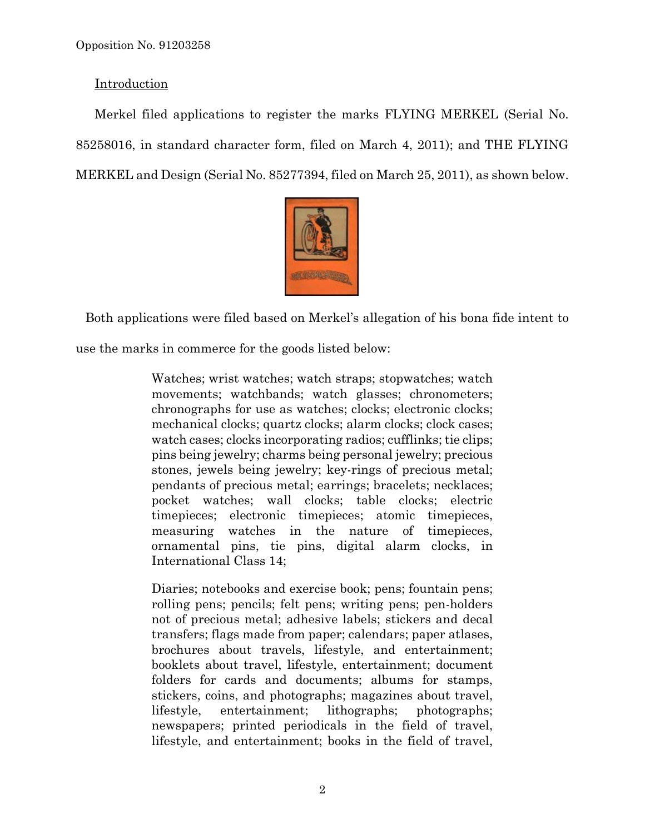## **Introduction**

Merkel filed applications to register the marks FLYING MERKEL (Serial No. 85258016, in standard character form, filed on March 4, 2011); and THE FLYING MERKEL and Design (Serial No. 85277394, filed on March 25, 2011), as shown below.



Both applications were filed based on Merkel's allegation of his bona fide intent to use the marks in commerce for the goods listed below:

> Watches; wrist watches; watch straps; stopwatches; watch movements; watchbands; watch glasses; chronometers; chronographs for use as watches; clocks; electronic clocks; mechanical clocks; quartz clocks; alarm clocks; clock cases; watch cases; clocks incorporating radios; cufflinks; tie clips; pins being jewelry; charms being personal jewelry; precious stones, jewels being jewelry; key-rings of precious metal; pendants of precious metal; earrings; bracelets; necklaces; pocket watches; wall clocks; table clocks; electric timepieces; electronic timepieces; atomic timepieces, measuring watches in the nature of timepieces, ornamental pins, tie pins, digital alarm clocks, in International Class 14;

> Diaries; notebooks and exercise book; pens; fountain pens; rolling pens; pencils; felt pens; writing pens; pen-holders not of precious metal; adhesive labels; stickers and decal transfers; flags made from paper; calendars; paper atlases, brochures about travels, lifestyle, and entertainment; booklets about travel, lifestyle, entertainment; document folders for cards and documents; albums for stamps, stickers, coins, and photographs; magazines about travel, lifestyle, entertainment; lithographs; photographs; newspapers; printed periodicals in the field of travel, lifestyle, and entertainment; books in the field of travel,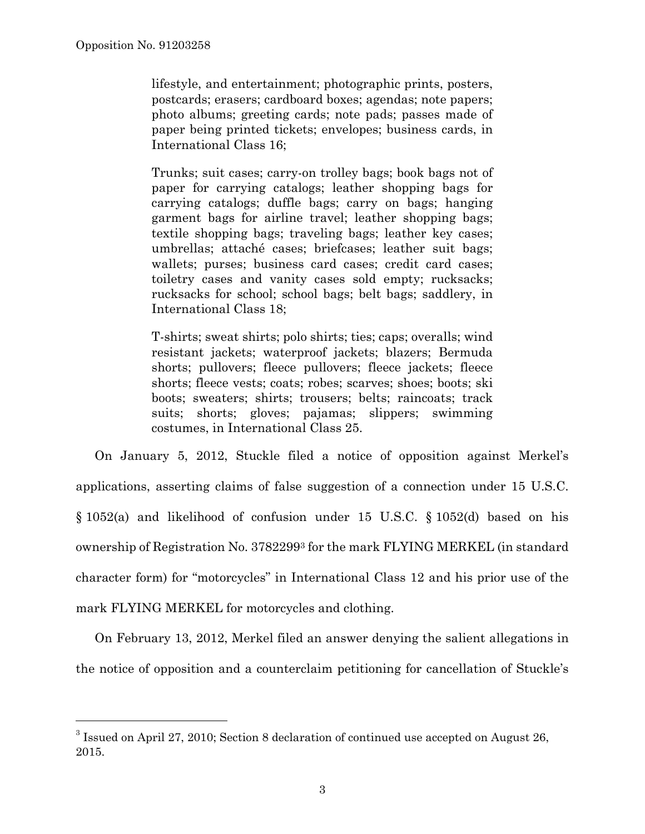÷,

lifestyle, and entertainment; photographic prints, posters, postcards; erasers; cardboard boxes; agendas; note papers; photo albums; greeting cards; note pads; passes made of paper being printed tickets; envelopes; business cards, in International Class 16;

Trunks; suit cases; carry-on trolley bags; book bags not of paper for carrying catalogs; leather shopping bags for carrying catalogs; duffle bags; carry on bags; hanging garment bags for airline travel; leather shopping bags; textile shopping bags; traveling bags; leather key cases; umbrellas; attaché cases; briefcases; leather suit bags; wallets; purses; business card cases; credit card cases; toiletry cases and vanity cases sold empty; rucksacks; rucksacks for school; school bags; belt bags; saddlery, in International Class 18;

T-shirts; sweat shirts; polo shirts; ties; caps; overalls; wind resistant jackets; waterproof jackets; blazers; Bermuda shorts; pullovers; fleece pullovers; fleece jackets; fleece shorts; fleece vests; coats; robes; scarves; shoes; boots; ski boots; sweaters; shirts; trousers; belts; raincoats; track suits; shorts; gloves; pajamas; slippers; swimming costumes, in International Class 25.

On January 5, 2012, Stuckle filed a notice of opposition against Merkel's applications, asserting claims of false suggestion of a connection under 15 U.S.C. § 1052(a) and likelihood of confusion under 15 U.S.C. § 1052(d) based on his ownership of Registration No. 37822993 for the mark FLYING MERKEL (in standard character form) for "motorcycles" in International Class 12 and his prior use of the mark FLYING MERKEL for motorcycles and clothing.

On February 13, 2012, Merkel filed an answer denying the salient allegations in the notice of opposition and a counterclaim petitioning for cancellation of Stuckle's

 $3$  Issued on April 27, 2010; Section 8 declaration of continued use accepted on August 26, 2015.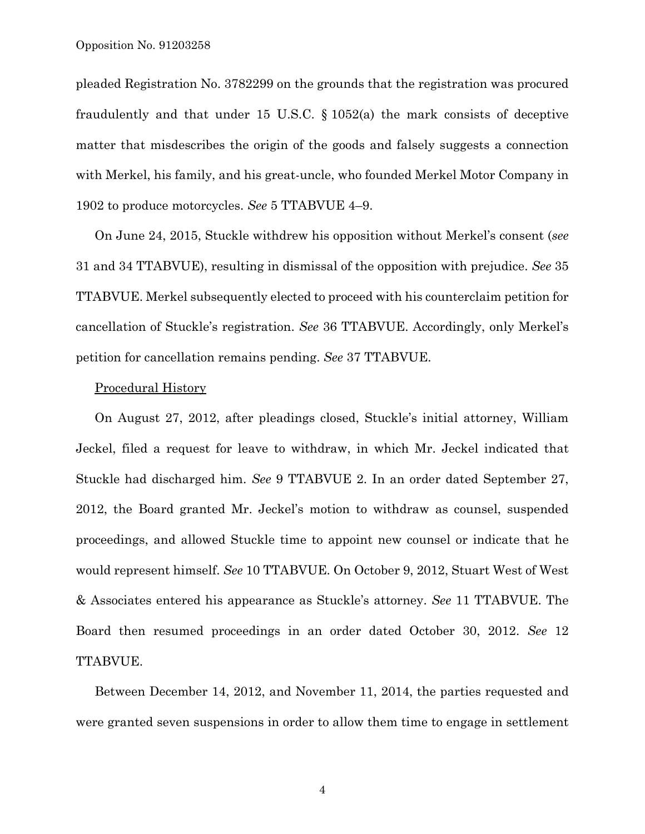pleaded Registration No. 3782299 on the grounds that the registration was procured fraudulently and that under 15 U.S.C. § 1052(a) the mark consists of deceptive matter that misdescribes the origin of the goods and falsely suggests a connection with Merkel, his family, and his great-uncle, who founded Merkel Motor Company in 1902 to produce motorcycles. *See* 5 TTABVUE 4–9.

On June 24, 2015, Stuckle withdrew his opposition without Merkel's consent (*see* 31 and 34 TTABVUE), resulting in dismissal of the opposition with prejudice. *See* 35 TTABVUE. Merkel subsequently elected to proceed with his counterclaim petition for cancellation of Stuckle's registration. *See* 36 TTABVUE. Accordingly, only Merkel's petition for cancellation remains pending. *See* 37 TTABVUE.

## Procedural History

On August 27, 2012, after pleadings closed, Stuckle's initial attorney, William Jeckel, filed a request for leave to withdraw, in which Mr. Jeckel indicated that Stuckle had discharged him. *See* 9 TTABVUE 2. In an order dated September 27, 2012, the Board granted Mr. Jeckel's motion to withdraw as counsel, suspended proceedings, and allowed Stuckle time to appoint new counsel or indicate that he would represent himself. *See* 10 TTABVUE. On October 9, 2012, Stuart West of West & Associates entered his appearance as Stuckle's attorney. *See* 11 TTABVUE. The Board then resumed proceedings in an order dated October 30, 2012. *See* 12 TTABVUE.

Between December 14, 2012, and November 11, 2014, the parties requested and were granted seven suspensions in order to allow them time to engage in settlement

4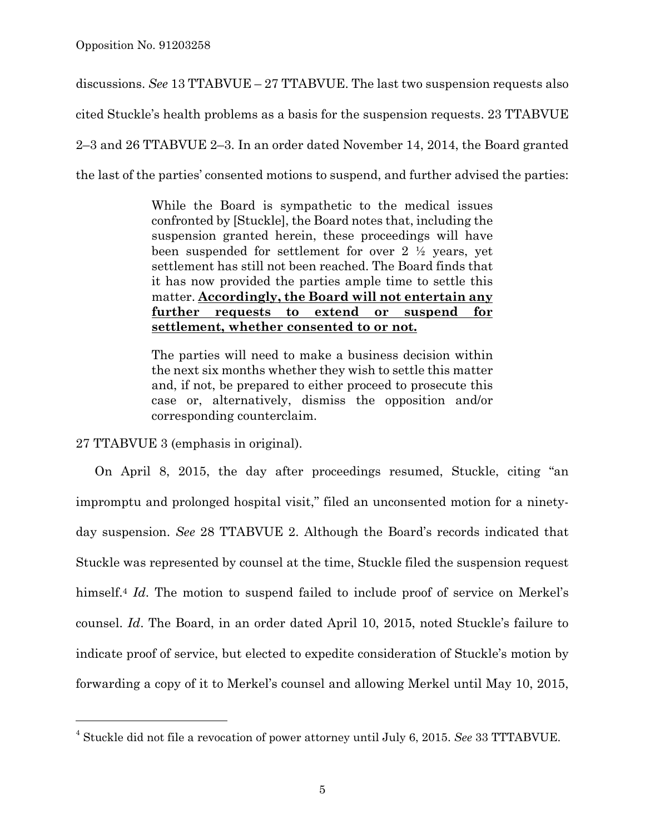discussions. *See* 13 TTABVUE – 27 TTABVUE. The last two suspension requests also cited Stuckle's health problems as a basis for the suspension requests. 23 TTABVUE 2–3 and 26 TTABVUE 2–3. In an order dated November 14, 2014, the Board granted the last of the parties' consented motions to suspend, and further advised the parties:

> While the Board is sympathetic to the medical issues confronted by [Stuckle], the Board notes that, including the suspension granted herein, these proceedings will have been suspended for settlement for over 2 ½ years, yet settlement has still not been reached. The Board finds that it has now provided the parties ample time to settle this matter. **Accordingly, the Board will not entertain any further requests to extend or suspend for settlement, whether consented to or not.**

> The parties will need to make a business decision within the next six months whether they wish to settle this matter and, if not, be prepared to either proceed to prosecute this case or, alternatively, dismiss the opposition and/or corresponding counterclaim.

27 TTABVUE 3 (emphasis in original).

÷,

On April 8, 2015, the day after proceedings resumed, Stuckle, citing "an impromptu and prolonged hospital visit," filed an unconsented motion for a ninetyday suspension. *See* 28 TTABVUE 2. Although the Board's records indicated that Stuckle was represented by counsel at the time, Stuckle filed the suspension request himself.4 *Id*. The motion to suspend failed to include proof of service on Merkel's counsel. *Id*. The Board, in an order dated April 10, 2015, noted Stuckle's failure to indicate proof of service, but elected to expedite consideration of Stuckle's motion by forwarding a copy of it to Merkel's counsel and allowing Merkel until May 10, 2015,

<sup>4</sup> Stuckle did not file a revocation of power attorney until July 6, 2015. *See* 33 TTTABVUE.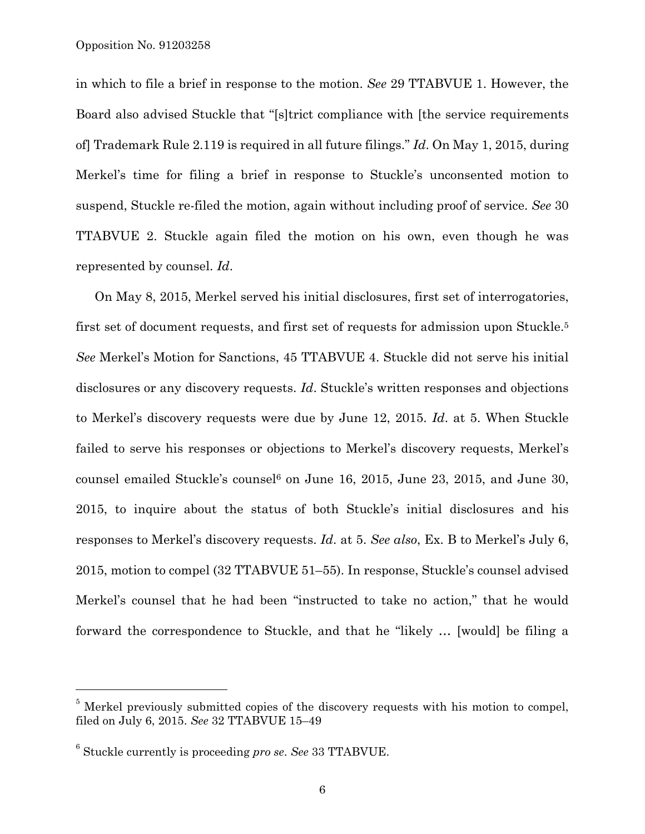Opposition No. 91203258

in which to file a brief in response to the motion. *See* 29 TTABVUE 1. However, the Board also advised Stuckle that "[s]trict compliance with [the service requirements of] Trademark Rule 2.119 is required in all future filings." *Id*. On May 1, 2015, during Merkel's time for filing a brief in response to Stuckle's unconsented motion to suspend, Stuckle re-filed the motion, again without including proof of service. *See* 30 TTABVUE 2. Stuckle again filed the motion on his own, even though he was represented by counsel. *Id*.

On May 8, 2015, Merkel served his initial disclosures, first set of interrogatories, first set of document requests, and first set of requests for admission upon Stuckle.<sup>5</sup> *See* Merkel's Motion for Sanctions, 45 TTABVUE 4. Stuckle did not serve his initial disclosures or any discovery requests. *Id*. Stuckle's written responses and objections to Merkel's discovery requests were due by June 12, 2015. *Id*. at 5. When Stuckle failed to serve his responses or objections to Merkel's discovery requests, Merkel's counsel emailed Stuckle's counsel<sup>6</sup> on June 16, 2015, June 23, 2015, and June 30, 2015, to inquire about the status of both Stuckle's initial disclosures and his responses to Merkel's discovery requests. *Id*. at 5. *See also*, Ex. B to Merkel's July 6, 2015, motion to compel (32 TTABVUE 51–55). In response, Stuckle's counsel advised Merkel's counsel that he had been "instructed to take no action," that he would forward the correspondence to Stuckle, and that he "likely … [would] be filing a

—<br>—

<sup>&</sup>lt;sup>5</sup> Merkel previously submitted copies of the discovery requests with his motion to compel, filed on July 6, 2015. *See* 32 TTABVUE 15–49

<sup>6</sup> Stuckle currently is proceeding *pro se*. *See* 33 TTABVUE.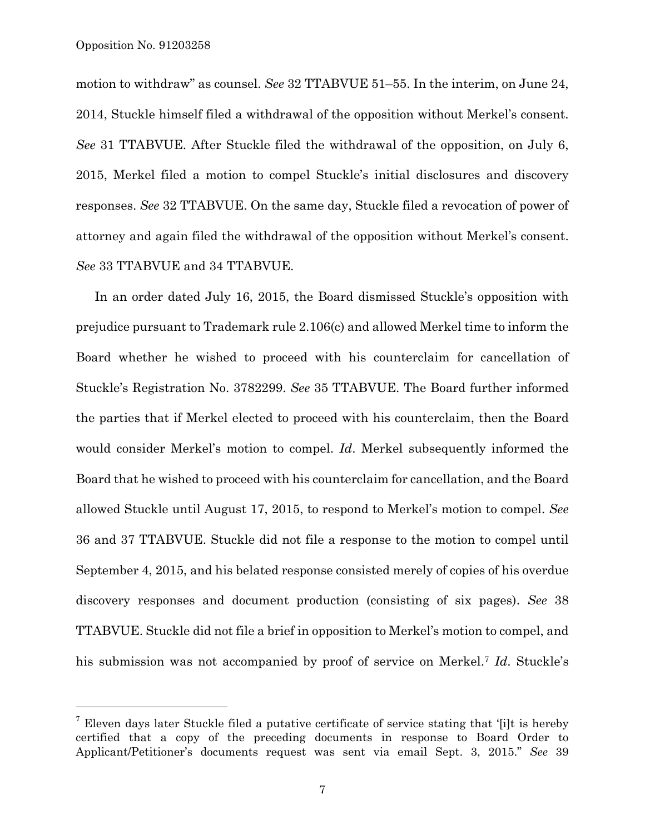i<br>L

motion to withdraw" as counsel. *See* 32 TTABVUE 51–55. In the interim, on June 24, 2014, Stuckle himself filed a withdrawal of the opposition without Merkel's consent. *See* 31 TTABVUE. After Stuckle filed the withdrawal of the opposition, on July 6, 2015, Merkel filed a motion to compel Stuckle's initial disclosures and discovery responses. *See* 32 TTABVUE. On the same day, Stuckle filed a revocation of power of attorney and again filed the withdrawal of the opposition without Merkel's consent. *See* 33 TTABVUE and 34 TTABVUE.

In an order dated July 16, 2015, the Board dismissed Stuckle's opposition with prejudice pursuant to Trademark rule 2.106(c) and allowed Merkel time to inform the Board whether he wished to proceed with his counterclaim for cancellation of Stuckle's Registration No. 3782299. *See* 35 TTABVUE. The Board further informed the parties that if Merkel elected to proceed with his counterclaim, then the Board would consider Merkel's motion to compel. *Id*. Merkel subsequently informed the Board that he wished to proceed with his counterclaim for cancellation, and the Board allowed Stuckle until August 17, 2015, to respond to Merkel's motion to compel. *See* 36 and 37 TTABVUE. Stuckle did not file a response to the motion to compel until September 4, 2015, and his belated response consisted merely of copies of his overdue discovery responses and document production (consisting of six pages). *See* 38 TTABVUE. Stuckle did not file a brief in opposition to Merkel's motion to compel, and his submission was not accompanied by proof of service on Merkel.7 *Id*. Stuckle's

<sup>&</sup>lt;sup>7</sup> Eleven days later Stuckle filed a putative certificate of service stating that '[i]t is hereby certified that a copy of the preceding documents in response to Board Order to Applicant/Petitioner's documents request was sent via email Sept. 3, 2015." *See* 39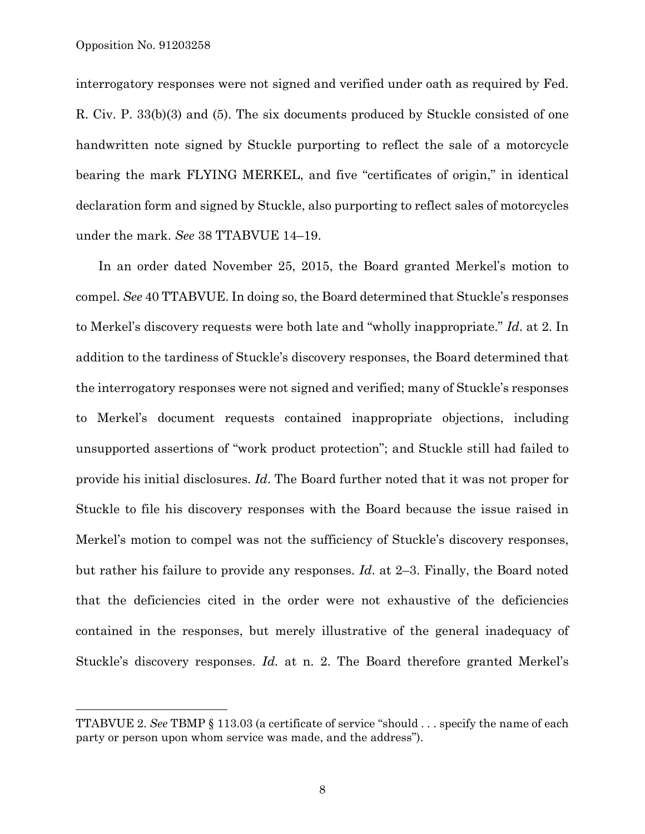i<br>L

interrogatory responses were not signed and verified under oath as required by Fed. R. Civ. P. 33(b)(3) and (5). The six documents produced by Stuckle consisted of one handwritten note signed by Stuckle purporting to reflect the sale of a motorcycle bearing the mark FLYING MERKEL, and five "certificates of origin," in identical declaration form and signed by Stuckle, also purporting to reflect sales of motorcycles under the mark. *See* 38 TTABVUE 14–19.

 In an order dated November 25, 2015, the Board granted Merkel's motion to compel. *See* 40 TTABVUE. In doing so, the Board determined that Stuckle's responses to Merkel's discovery requests were both late and "wholly inappropriate." *Id*. at 2. In addition to the tardiness of Stuckle's discovery responses, the Board determined that the interrogatory responses were not signed and verified; many of Stuckle's responses to Merkel's document requests contained inappropriate objections, including unsupported assertions of "work product protection"; and Stuckle still had failed to provide his initial disclosures. *Id*. The Board further noted that it was not proper for Stuckle to file his discovery responses with the Board because the issue raised in Merkel's motion to compel was not the sufficiency of Stuckle's discovery responses, but rather his failure to provide any responses. *Id*. at 2–3. Finally, the Board noted that the deficiencies cited in the order were not exhaustive of the deficiencies contained in the responses, but merely illustrative of the general inadequacy of Stuckle's discovery responses. *Id.* at n. 2. The Board therefore granted Merkel's

TTABVUE 2. *See* TBMP § 113.03 (a certificate of service "should . . . specify the name of each party or person upon whom service was made, and the address").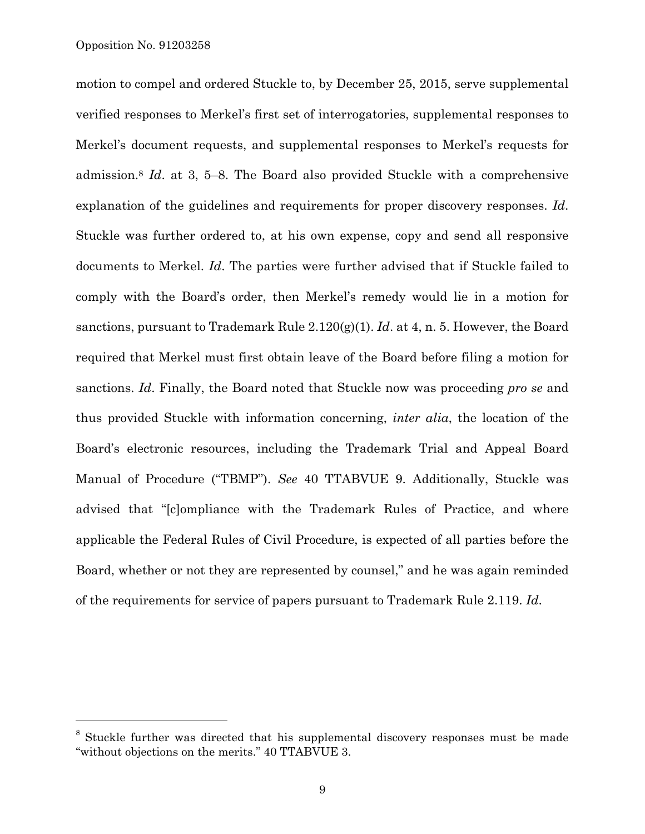÷,

motion to compel and ordered Stuckle to, by December 25, 2015, serve supplemental verified responses to Merkel's first set of interrogatories, supplemental responses to Merkel's document requests, and supplemental responses to Merkel's requests for admission.8 *Id*. at 3, 5–8. The Board also provided Stuckle with a comprehensive explanation of the guidelines and requirements for proper discovery responses. *Id*. Stuckle was further ordered to, at his own expense, copy and send all responsive documents to Merkel. *Id*. The parties were further advised that if Stuckle failed to comply with the Board's order, then Merkel's remedy would lie in a motion for sanctions, pursuant to Trademark Rule 2.120(g)(1). *Id*. at 4, n. 5. However, the Board required that Merkel must first obtain leave of the Board before filing a motion for sanctions. *Id*. Finally, the Board noted that Stuckle now was proceeding *pro se* and thus provided Stuckle with information concerning, *inter alia*, the location of the Board's electronic resources, including the Trademark Trial and Appeal Board Manual of Procedure ("TBMP"). *See* 40 TTABVUE 9. Additionally, Stuckle was advised that "[c]ompliance with the Trademark Rules of Practice, and where applicable the Federal Rules of Civil Procedure, is expected of all parties before the Board, whether or not they are represented by counsel," and he was again reminded of the requirements for service of papers pursuant to Trademark Rule 2.119. *Id*.

<sup>&</sup>lt;sup>8</sup> Stuckle further was directed that his supplemental discovery responses must be made "without objections on the merits." 40 TTABVUE 3.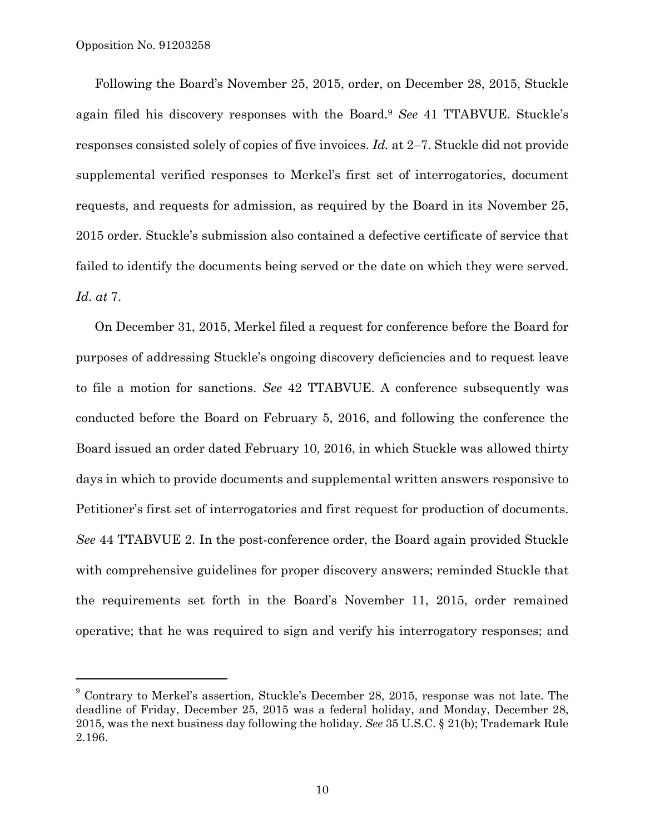Following the Board's November 25, 2015, order, on December 28, 2015, Stuckle again filed his discovery responses with the Board.9 *See* 41 TTABVUE. Stuckle's responses consisted solely of copies of five invoices. *Id.* at 2–7. Stuckle did not provide supplemental verified responses to Merkel's first set of interrogatories, document requests, and requests for admission, as required by the Board in its November 25, 2015 order. Stuckle's submission also contained a defective certificate of service that failed to identify the documents being served or the date on which they were served. *Id. at* 7.

On December 31, 2015, Merkel filed a request for conference before the Board for purposes of addressing Stuckle's ongoing discovery deficiencies and to request leave to file a motion for sanctions. *See* 42 TTABVUE. A conference subsequently was conducted before the Board on February 5, 2016, and following the conference the Board issued an order dated February 10, 2016, in which Stuckle was allowed thirty days in which to provide documents and supplemental written answers responsive to Petitioner's first set of interrogatories and first request for production of documents. *See* 44 TTABVUE 2. In the post-conference order, the Board again provided Stuckle with comprehensive guidelines for proper discovery answers; reminded Stuckle that the requirements set forth in the Board's November 11, 2015, order remained operative; that he was required to sign and verify his interrogatory responses; and

 $9$  Contrary to Merkel's assertion, Stuckle's December 28, 2015, response was not late. The deadline of Friday, December 25, 2015 was a federal holiday, and Monday, December 28, 2015, was the next business day following the holiday. *See* 35 U.S.C. § 21(b); Trademark Rule 2.196.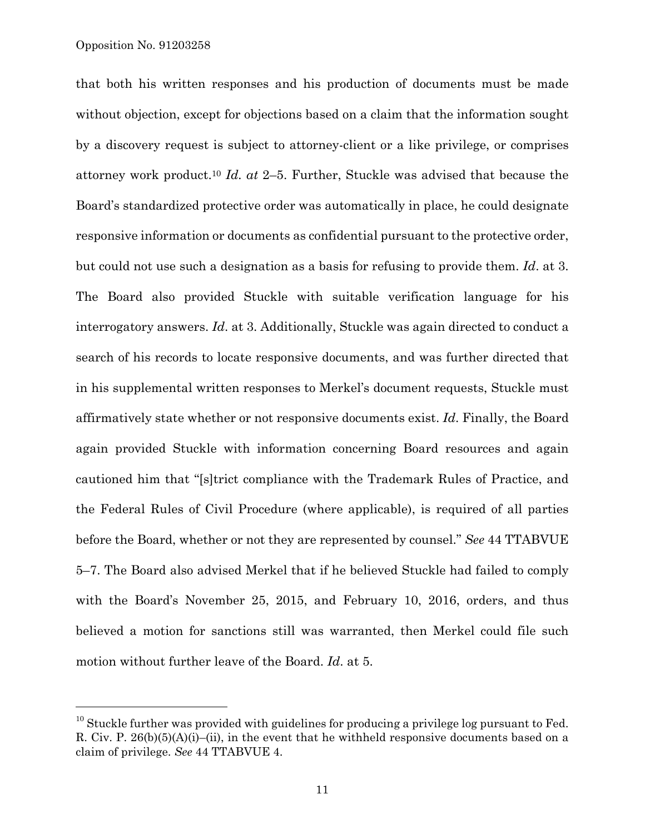—<br>—

that both his written responses and his production of documents must be made without objection, except for objections based on a claim that the information sought by a discovery request is subject to attorney-client or a like privilege, or comprises attorney work product.10 *Id. at* 2–5. Further, Stuckle was advised that because the Board's standardized protective order was automatically in place, he could designate responsive information or documents as confidential pursuant to the protective order, but could not use such a designation as a basis for refusing to provide them. *Id*. at 3. The Board also provided Stuckle with suitable verification language for his interrogatory answers. *Id*. at 3. Additionally, Stuckle was again directed to conduct a search of his records to locate responsive documents, and was further directed that in his supplemental written responses to Merkel's document requests, Stuckle must affirmatively state whether or not responsive documents exist. *Id*. Finally, the Board again provided Stuckle with information concerning Board resources and again cautioned him that "[s]trict compliance with the Trademark Rules of Practice, and the Federal Rules of Civil Procedure (where applicable), is required of all parties before the Board, whether or not they are represented by counsel." *See* 44 TTABVUE 5–7. The Board also advised Merkel that if he believed Stuckle had failed to comply with the Board's November 25, 2015, and February 10, 2016, orders, and thus believed a motion for sanctions still was warranted, then Merkel could file such motion without further leave of the Board. *Id*. at 5.

 $10$  Stuckle further was provided with guidelines for producing a privilege log pursuant to Fed. R. Civ. P.  $26(b)(5)(A)(i)$ –(ii), in the event that he withheld responsive documents based on a claim of privilege. *See* 44 TTABVUE 4.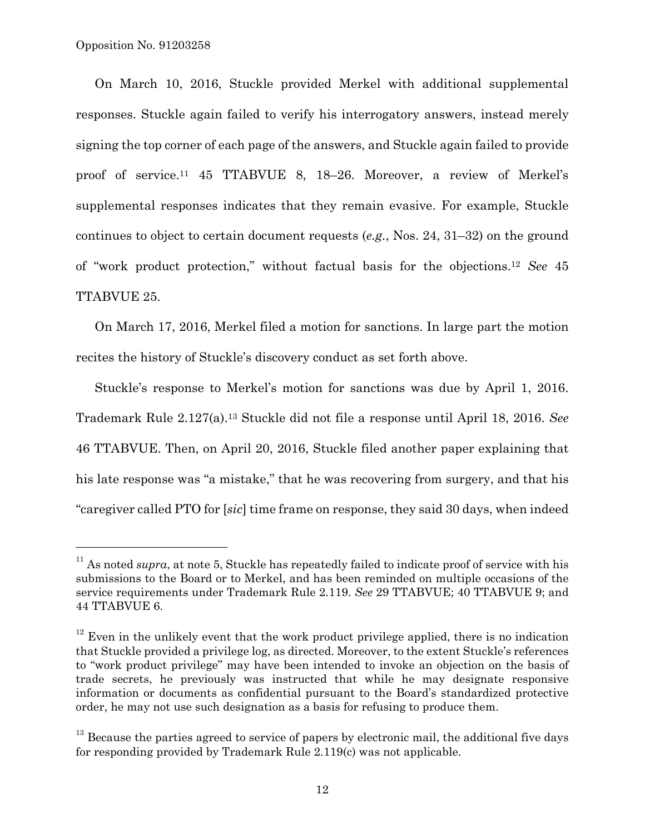—<br>—

On March 10, 2016, Stuckle provided Merkel with additional supplemental responses. Stuckle again failed to verify his interrogatory answers, instead merely signing the top corner of each page of the answers, and Stuckle again failed to provide proof of service.11 45 TTABVUE 8, 18–26. Moreover, a review of Merkel's supplemental responses indicates that they remain evasive. For example, Stuckle continues to object to certain document requests (*e.g.*, Nos. 24, 31–32) on the ground of "work product protection," without factual basis for the objections.12 *See* 45 TTABVUE 25.

On March 17, 2016, Merkel filed a motion for sanctions. In large part the motion recites the history of Stuckle's discovery conduct as set forth above.

Stuckle's response to Merkel's motion for sanctions was due by April 1, 2016. Trademark Rule 2.127(a).13 Stuckle did not file a response until April 18, 2016. *See* 46 TTABVUE. Then, on April 20, 2016, Stuckle filed another paper explaining that his late response was "a mistake," that he was recovering from surgery, and that his "caregiver called PTO for [*sic*] time frame on response, they said 30 days, when indeed

<sup>&</sup>lt;sup>11</sup> As noted *supra*, at note 5, Stuckle has repeatedly failed to indicate proof of service with his submissions to the Board or to Merkel, and has been reminded on multiple occasions of the service requirements under Trademark Rule 2.119. *See* 29 TTABVUE; 40 TTABVUE 9; and 44 TTABVUE 6.

 $12$  Even in the unlikely event that the work product privilege applied, there is no indication that Stuckle provided a privilege log, as directed. Moreover, to the extent Stuckle's references to "work product privilege" may have been intended to invoke an objection on the basis of trade secrets, he previously was instructed that while he may designate responsive information or documents as confidential pursuant to the Board's standardized protective order, he may not use such designation as a basis for refusing to produce them.

 $13$  Because the parties agreed to service of papers by electronic mail, the additional five days for responding provided by Trademark Rule 2.119(c) was not applicable.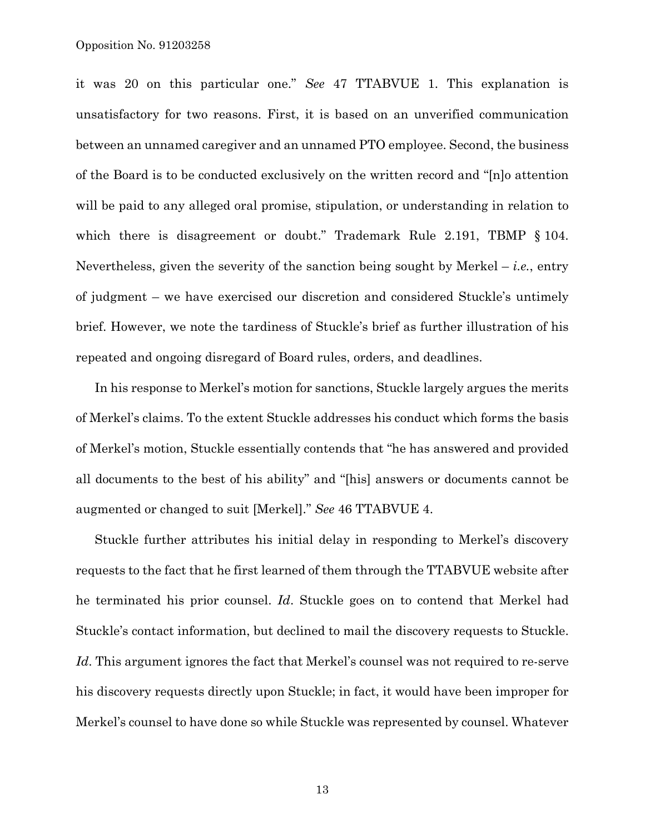it was 20 on this particular one." *See* 47 TTABVUE 1. This explanation is unsatisfactory for two reasons. First, it is based on an unverified communication between an unnamed caregiver and an unnamed PTO employee. Second, the business of the Board is to be conducted exclusively on the written record and "[n]o attention will be paid to any alleged oral promise, stipulation, or understanding in relation to which there is disagreement or doubt." Trademark Rule 2.191, TBMP § 104. Nevertheless, given the severity of the sanction being sought by Merkel  $-$  *i.e.*, entry of judgment – we have exercised our discretion and considered Stuckle's untimely brief. However, we note the tardiness of Stuckle's brief as further illustration of his repeated and ongoing disregard of Board rules, orders, and deadlines.

In his response to Merkel's motion for sanctions, Stuckle largely argues the merits of Merkel's claims. To the extent Stuckle addresses his conduct which forms the basis of Merkel's motion, Stuckle essentially contends that "he has answered and provided all documents to the best of his ability" and "[his] answers or documents cannot be augmented or changed to suit [Merkel]." *See* 46 TTABVUE 4.

Stuckle further attributes his initial delay in responding to Merkel's discovery requests to the fact that he first learned of them through the TTABVUE website after he terminated his prior counsel. *Id*. Stuckle goes on to contend that Merkel had Stuckle's contact information, but declined to mail the discovery requests to Stuckle. *Id*. This argument ignores the fact that Merkel's counsel was not required to re-serve his discovery requests directly upon Stuckle; in fact, it would have been improper for Merkel's counsel to have done so while Stuckle was represented by counsel. Whatever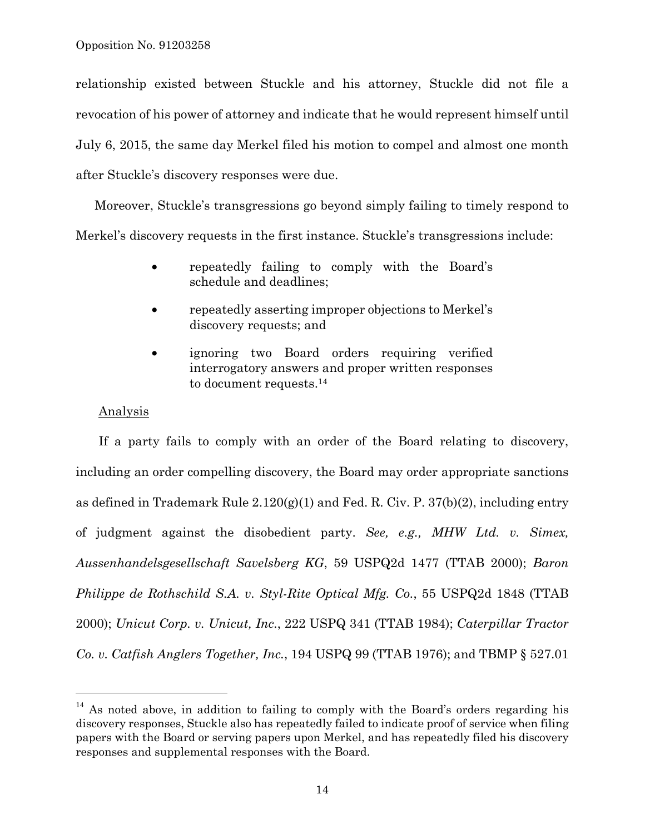relationship existed between Stuckle and his attorney, Stuckle did not file a revocation of his power of attorney and indicate that he would represent himself until July 6, 2015, the same day Merkel filed his motion to compel and almost one month after Stuckle's discovery responses were due.

Moreover, Stuckle's transgressions go beyond simply failing to timely respond to Merkel's discovery requests in the first instance. Stuckle's transgressions include:

- repeatedly failing to comply with the Board's schedule and deadlines;
- repeatedly asserting improper objections to Merkel's discovery requests; and
- ignoring two Board orders requiring verified interrogatory answers and proper written responses to document requests.<sup>14</sup>

## Analysis

i<br>L

If a party fails to comply with an order of the Board relating to discovery, including an order compelling discovery, the Board may order appropriate sanctions as defined in Trademark Rule  $2.120(g)(1)$  and Fed. R. Civ. P. 37(b)(2), including entry of judgment against the disobedient party. *See, e.g., MHW Ltd. v. Simex, Aussenhandelsgesellschaft Savelsberg KG*, 59 USPQ2d 1477 (TTAB 2000); *Baron Philippe de Rothschild S.A. v. Styl-Rite Optical Mfg. Co.*, 55 USPQ2d 1848 (TTAB 2000); *Unicut Corp. v. Unicut, Inc.*, 222 USPQ 341 (TTAB 1984); *Caterpillar Tractor Co. v. Catfish Anglers Together, Inc.*, 194 USPQ 99 (TTAB 1976); and TBMP § 527.01

 $14$  As noted above, in addition to failing to comply with the Board's orders regarding his discovery responses, Stuckle also has repeatedly failed to indicate proof of service when filing papers with the Board or serving papers upon Merkel, and has repeatedly filed his discovery responses and supplemental responses with the Board.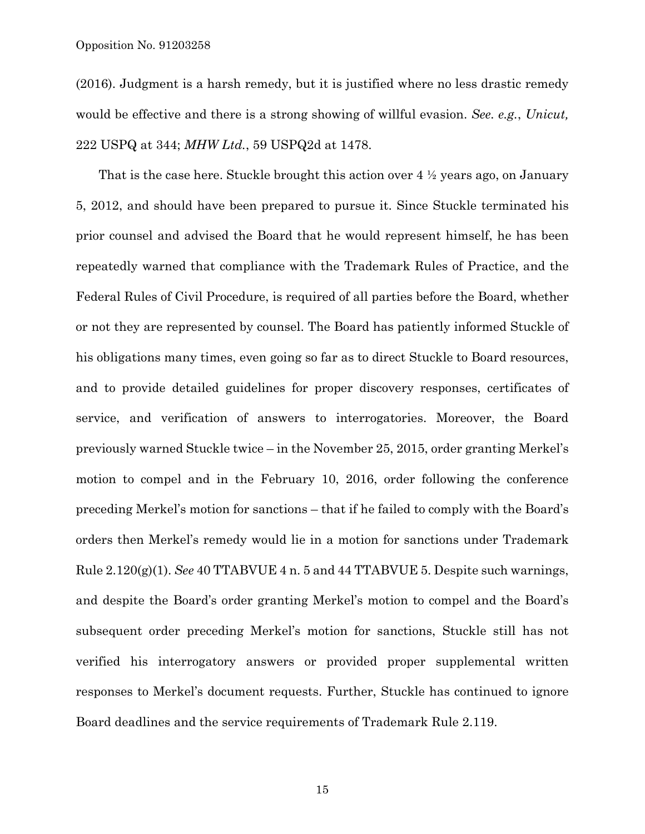Opposition No. 91203258

(2016). Judgment is a harsh remedy, but it is justified where no less drastic remedy would be effective and there is a strong showing of willful evasion. *See. e.g.*, *Unicut,* 222 USPQ at 344; *MHW Ltd.*, 59 USPQ2d at 1478.

That is the case here. Stuckle brought this action over 4 ½ years ago, on January 5, 2012, and should have been prepared to pursue it. Since Stuckle terminated his prior counsel and advised the Board that he would represent himself, he has been repeatedly warned that compliance with the Trademark Rules of Practice, and the Federal Rules of Civil Procedure, is required of all parties before the Board, whether or not they are represented by counsel. The Board has patiently informed Stuckle of his obligations many times, even going so far as to direct Stuckle to Board resources, and to provide detailed guidelines for proper discovery responses, certificates of service, and verification of answers to interrogatories. Moreover, the Board previously warned Stuckle twice – in the November 25, 2015, order granting Merkel's motion to compel and in the February 10, 2016, order following the conference preceding Merkel's motion for sanctions – that if he failed to comply with the Board's orders then Merkel's remedy would lie in a motion for sanctions under Trademark Rule 2.120(g)(1). *See* 40 TTABVUE 4 n. 5 and 44 TTABVUE 5. Despite such warnings, and despite the Board's order granting Merkel's motion to compel and the Board's subsequent order preceding Merkel's motion for sanctions, Stuckle still has not verified his interrogatory answers or provided proper supplemental written responses to Merkel's document requests. Further, Stuckle has continued to ignore Board deadlines and the service requirements of Trademark Rule 2.119.

15